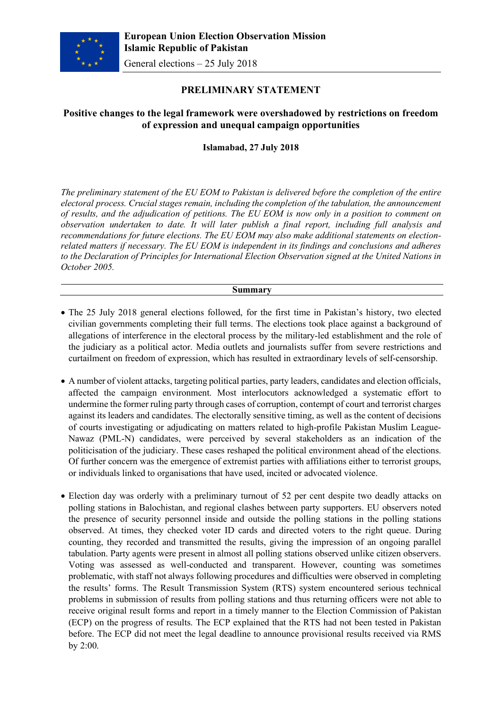

# **PRELIMINARY STATEMENT**

# **Positive changes to the legal framework were overshadowed by restrictions on freedom of expression and unequal campaign opportunities**

**Islamabad, 27 July 2018**

*The preliminary statement of the EU EOM to Pakistan is delivered before the completion of the entire electoral process. Crucial stages remain, including the completion of the tabulation, the announcement of results, and the adjudication of petitions. The EU EOM is now only in a position to comment on observation undertaken to date. It will later publish a final report, including full analysis and recommendations for future elections. The EU EOM may also make additional statements on electionrelated matters if necessary. The EU EOM is independent in its findings and conclusions and adheres to the Declaration of Principles for International Election Observation signed at the United Nations in October 2005.*

#### **Summary**

- The 25 July 2018 general elections followed, for the first time in Pakistan's history, two elected civilian governments completing their full terms. The elections took place against a background of allegations of interference in the electoral process by the military-led establishment and the role of the judiciary as a political actor. Media outlets and journalists suffer from severe restrictions and curtailment on freedom of expression, which has resulted in extraordinary levels of self-censorship.
- A number of violent attacks, targeting political parties, party leaders, candidates and election officials, affected the campaign environment. Most interlocutors acknowledged a systematic effort to undermine the former ruling party through cases of corruption, contempt of court and terrorist charges against its leaders and candidates. The electorally sensitive timing, as well as the content of decisions of courts investigating or adjudicating on matters related to high-profile Pakistan Muslim League-Nawaz (PML-N) candidates, were perceived by several stakeholders as an indication of the politicisation of the judiciary. These cases reshaped the political environment ahead of the elections. Of further concern was the emergence of extremist parties with affiliations either to terrorist groups, or individuals linked to organisations that have used, incited or advocated violence.
- Election day was orderly with a preliminary turnout of 52 per cent despite two deadly attacks on polling stations in Balochistan, and regional clashes between party supporters. EU observers noted the presence of security personnel inside and outside the polling stations in the polling stations observed. At times, they checked voter ID cards and directed voters to the right queue. During counting, they recorded and transmitted the results, giving the impression of an ongoing parallel tabulation. Party agents were present in almost all polling stations observed unlike citizen observers. Voting was assessed as well-conducted and transparent. However, counting was sometimes problematic, with staff not always following procedures and difficulties were observed in completing the results' forms. The Result Transmission System (RTS) system encountered serious technical problems in submission of results from polling stations and thus returning officers were not able to receive original result forms and report in a timely manner to the Election Commission of Pakistan (ECP) on the progress of results. The ECP explained that the RTS had not been tested in Pakistan before. The ECP did not meet the legal deadline to announce provisional results received via RMS by 2:00.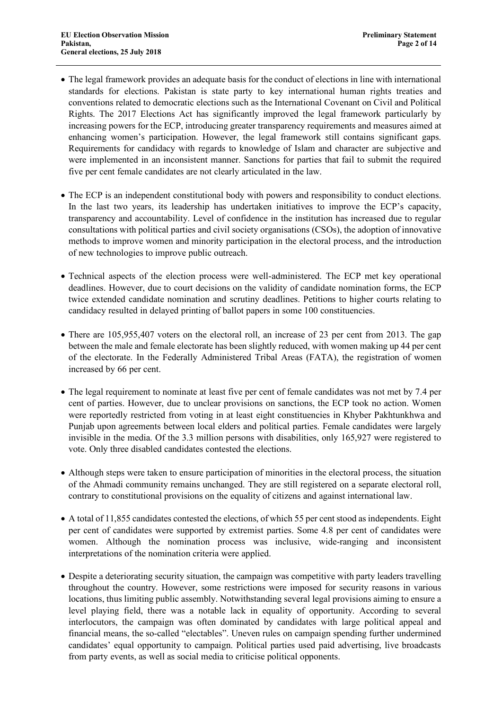- The legal framework provides an adequate basis for the conduct of elections in line with international standards for elections. Pakistan is state party to key international human rights treaties and conventions related to democratic elections such as the International Covenant on Civil and Political Rights. The 2017 Elections Act has significantly improved the legal framework particularly by increasing powers for the ECP, introducing greater transparency requirements and measures aimed at enhancing women's participation. However, the legal framework still contains significant gaps. Requirements for candidacy with regards to knowledge of Islam and character are subjective and were implemented in an inconsistent manner. Sanctions for parties that fail to submit the required five per cent female candidates are not clearly articulated in the law.
- The ECP is an independent constitutional body with powers and responsibility to conduct elections. In the last two years, its leadership has undertaken initiatives to improve the ECP's capacity, transparency and accountability. Level of confidence in the institution has increased due to regular consultations with political parties and civil society organisations (CSOs), the adoption of innovative methods to improve women and minority participation in the electoral process, and the introduction of new technologies to improve public outreach.
- Technical aspects of the election process were well-administered. The ECP met key operational deadlines. However, due to court decisions on the validity of candidate nomination forms, the ECP twice extended candidate nomination and scrutiny deadlines. Petitions to higher courts relating to candidacy resulted in delayed printing of ballot papers in some 100 constituencies.
- There are 105,955,407 voters on the electoral roll, an increase of 23 per cent from 2013. The gap between the male and female electorate has been slightly reduced, with women making up 44 per cent of the electorate. In the Federally Administered Tribal Areas (FATA), the registration of women increased by 66 per cent.
- The legal requirement to nominate at least five per cent of female candidates was not met by 7.4 per cent of parties. However, due to unclear provisions on sanctions, the ECP took no action. Women were reportedly restricted from voting in at least eight constituencies in Khyber Pakhtunkhwa and Punjab upon agreements between local elders and political parties. Female candidates were largely invisible in the media. Of the 3.3 million persons with disabilities, only 165,927 were registered to vote. Only three disabled candidates contested the elections.
- Although steps were taken to ensure participation of minorities in the electoral process, the situation of the Ahmadi community remains unchanged. They are still registered on a separate electoral roll, contrary to constitutional provisions on the equality of citizens and against international law.
- A total of 11,855 candidates contested the elections, of which 55 per cent stood as independents. Eight per cent of candidates were supported by extremist parties. Some 4.8 per cent of candidates were women. Although the nomination process was inclusive, wide-ranging and inconsistent interpretations of the nomination criteria were applied.
- Despite a deteriorating security situation, the campaign was competitive with party leaders travelling throughout the country. However, some restrictions were imposed for security reasons in various locations, thus limiting public assembly. Notwithstanding several legal provisions aiming to ensure a level playing field, there was a notable lack in equality of opportunity. According to several interlocutors, the campaign was often dominated by candidates with large political appeal and financial means, the so-called "electables". Uneven rules on campaign spending further undermined candidates' equal opportunity to campaign. Political parties used paid advertising, live broadcasts from party events, as well as social media to criticise political opponents.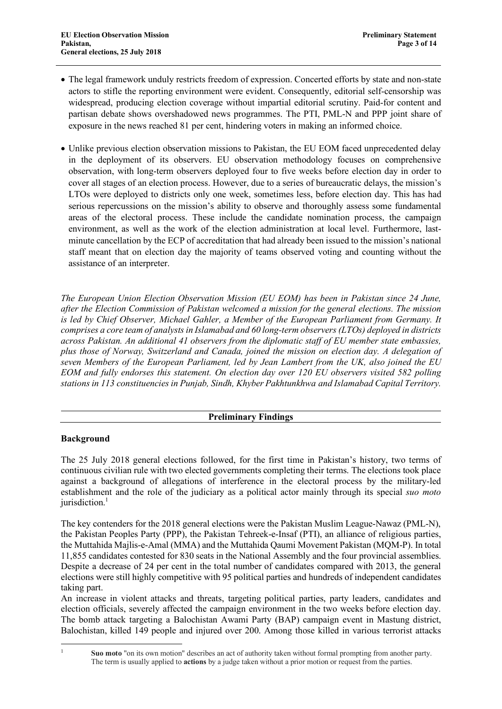- The legal framework unduly restricts freedom of expression. Concerted efforts by state and non-state actors to stifle the reporting environment were evident. Consequently, editorial self-censorship was widespread, producing election coverage without impartial editorial scrutiny. Paid-for content and partisan debate shows overshadowed news programmes. The PTI, PML-N and PPP joint share of exposure in the news reached 81 per cent, hindering voters in making an informed choice.
- Unlike previous election observation missions to Pakistan, the EU EOM faced unprecedented delay in the deployment of its observers. EU observation methodology focuses on comprehensive observation, with long-term observers deployed four to five weeks before election day in order to cover all stages of an election process. However, due to a series of bureaucratic delays, the mission's LTOs were deployed to districts only one week, sometimes less, before election day. This has had serious repercussions on the mission's ability to observe and thoroughly assess some fundamental areas of the electoral process. These include the candidate nomination process, the campaign environment, as well as the work of the election administration at local level. Furthermore, lastminute cancellation by the ECP of accreditation that had already been issued to the mission's national staff meant that on election day the majority of teams observed voting and counting without the assistance of an interpreter.

*The European Union Election Observation Mission (EU EOM) has been in Pakistan since 24 June, after the Election Commission of Pakistan welcomed a mission for the general elections. The mission is led by Chief Observer, Michael Gahler, a Member of the European Parliament from Germany. It comprises a core team of analysts in Islamabad and 60 long-term observers (LTOs) deployed in districts across Pakistan. An additional 41 observers from the diplomatic staff of EU member state embassies, plus those of Norway, Switzerland and Canada, joined the mission on election day. A delegation of seven Members of the European Parliament, led by Jean Lambert from the UK, also joined the EU EOM and fully endorses this statement. On election day over 120 EU observers visited 582 polling stations in 113 constituencies in Punjab, Sindh, Khyber Pakhtunkhwa and Islamabad Capital Territory.*

# **Preliminary Findings**

# **Background**

The 25 July 2018 general elections followed, for the first time in Pakistan's history, two terms of continuous civilian rule with two elected governments completing their terms. The elections took place against a background of allegations of interference in the electoral process by the military-led establishment and the role of the judiciary as a political actor mainly through its special *suo moto* jurisdiction. $<sup>1</sup>$ </sup>

The key contenders for the 2018 general elections were the Pakistan Muslim League-Nawaz (PML-N), the Pakistan Peoples Party (PPP), the Pakistan Tehreek-e-Insaf (PTI), an alliance of religious parties, the Muttahida Majlis-e-Amal (MMA) and the Muttahida Qaumi Movement Pakistan (MQM-P). In total 11,855 candidates contested for 830 seats in the National Assembly and the four provincial assemblies. Despite a decrease of 24 per cent in the total number of candidates compared with 2013, the general elections were still highly competitive with 95 political parties and hundreds of independent candidates taking part.

An increase in violent attacks and threats, targeting political parties, party leaders, candidates and election officials, severely affected the campaign environment in the two weeks before election day. The bomb attack targeting a Balochistan Awami Party (BAP) campaign event in Mastung district, Balochistan, killed 149 people and injured over 200. Among those killed in various terrorist attacks

<sup>&</sup>lt;sup>1</sup> **Suo moto** "on its own motion" describes an act of authority taken without formal prompting from another party. The term is usually applied to **actions** by a judge taken without a prior motion or request from the parties.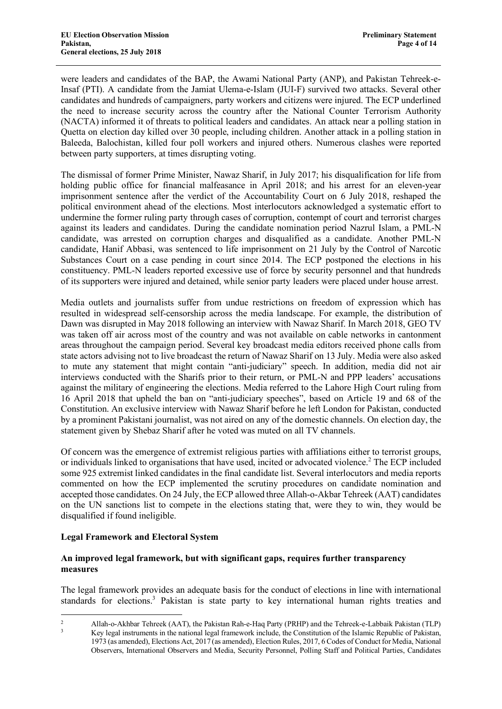were leaders and candidates of the BAP, the Awami National Party (ANP), and Pakistan Tehreek-e-Insaf (PTI). A candidate from the Jamiat Ulema-e-Islam (JUI-F) survived two attacks. Several other candidates and hundreds of campaigners, party workers and citizens were injured. The ECP underlined the need to increase security across the country after the National Counter Terrorism Authority (NACTA) informed it of threats to political leaders and candidates. An attack near a polling station in Quetta on election day killed over 30 people, including children. Another attack in a polling station in Baleeda, Balochistan, killed four poll workers and injured others. Numerous clashes were reported between party supporters, at times disrupting voting.

The dismissal of former Prime Minister, Nawaz Sharif, in July 2017; his disqualification for life from holding public office for financial malfeasance in April 2018; and his arrest for an eleven-year imprisonment sentence after the verdict of the Accountability Court on 6 July 2018, reshaped the political environment ahead of the elections. Most interlocutors acknowledged a systematic effort to undermine the former ruling party through cases of corruption, contempt of court and terrorist charges against its leaders and candidates. During the candidate nomination period Nazrul Islam, a PML-N candidate, was arrested on corruption charges and disqualified as a candidate. Another PML-N candidate, Hanif Abbasi, was sentenced to life imprisonment on 21 July by the Control of Narcotic Substances Court on a case pending in court since 2014. The ECP postponed the elections in his constituency. PML-N leaders reported excessive use of force by security personnel and that hundreds of its supporters were injured and detained, while senior party leaders were placed under house arrest.

Media outlets and journalists suffer from undue restrictions on freedom of expression which has resulted in widespread self-censorship across the media landscape. For example, the distribution of Dawn was disrupted in May 2018 following an interview with Nawaz Sharif. In March 2018, GEO TV was taken off air across most of the country and was not available on cable networks in cantonment areas throughout the campaign period. Several key broadcast media editors received phone calls from state actors advising not to live broadcast the return of Nawaz Sharif on 13 July. Media were also asked to mute any statement that might contain "anti-judiciary" speech. In addition, media did not air interviews conducted with the Sharifs prior to their return, or PML-N and PPP leaders' accusations against the military of engineering the elections. Media referred to the Lahore High Court ruling from 16 April 2018 that upheld the ban on "anti-judiciary speeches", based on Article 19 and 68 of the Constitution. An exclusive interview with Nawaz Sharif before he left London for Pakistan, conducted by a prominent Pakistani journalist, was not aired on any of the domestic channels. On election day, the statement given by Shebaz Sharif after he voted was muted on all TV channels.

Of concern was the emergence of extremist religious parties with affiliations either to terrorist groups, or individuals linked to organisations that have used, incited or advocated violence.<sup>2</sup> The ECP included some 925 extremist linked candidates in the final candidate list. Several interlocutors and media reports commented on how the ECP implemented the scrutiny procedures on candidate nomination and accepted those candidates. On 24 July, the ECP allowed three Allah-o-Akbar Tehreek (AAT) candidates on the UN sanctions list to compete in the elections stating that, were they to win, they would be disqualified if found ineligible.

#### **Legal Framework and Electoral System**

### **An improved legal framework, but with significant gaps, requires further transparency measures**

The legal framework provides an adequate basis for the conduct of elections in line with international standards for elections.<sup>3</sup> Pakistan is state party to key international human rights treaties and

<sup>&</sup>lt;sup>2</sup> Allah-o-Akhbar Tehreek (AAT), the Pakistan Rah-e-Haq Party (PRHP) and the Tehreek-e-Labbaik Pakistan (TLP)<br><sup>3</sup> Kev legal instruments in the national legal framework include, the Constitution of the Islamic Republic of 1973 (as amended), Elections Act, 2017 (as amended), Election Rules, 2017, 6 Codes of Conduct for Media, National Observers, International Observers and Media, Security Personnel, Polling Staff and Political Parties, Candidates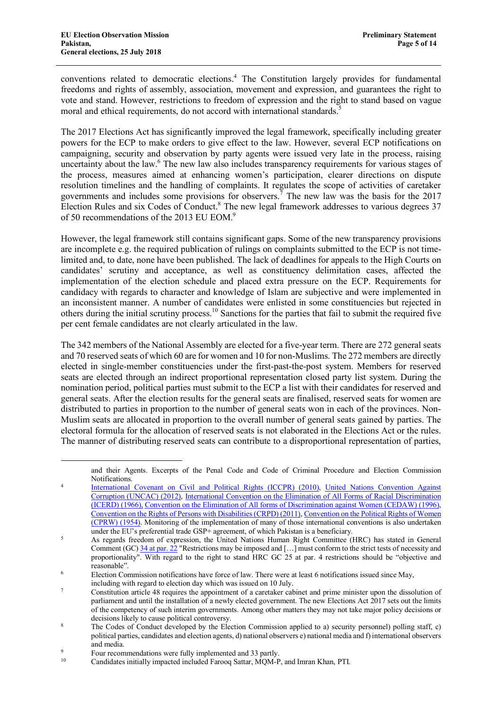conventions related to democratic elections.4 The Constitution largely provides for fundamental freedoms and rights of assembly, association, movement and expression, and guarantees the right to vote and stand. However, restrictions to freedom of expression and the right to stand based on vague moral and ethical requirements, do not accord with international standards.<sup>5</sup>

The 2017 Elections Act has significantly improved the legal framework, specifically including greater powers for the ECP to make orders to give effect to the law. However, several ECP notifications on campaigning, security and observation by party agents were issued very late in the process, raising uncertainty about the law.<sup>6</sup> The new law also includes transparency requirements for various stages of the process, measures aimed at enhancing women's participation, clearer directions on dispute resolution timelines and the handling of complaints. It regulates the scope of activities of caretaker governments and includes some provisions for observers.<sup>7</sup> The new law was the basis for the 2017 Election Rules and six Codes of Conduct.<sup>8</sup> The new legal framework addresses to various degrees 37 of 50 recommendations of the 2013 EU EOM.<sup>9</sup>

However, the legal framework still contains significant gaps. Some of the new transparency provisions are incomplete e.g. the required publication of rulings on complaints submitted to the ECP is not timelimited and, to date, none have been published. The lack of deadlines for appeals to the High Courts on candidates' scrutiny and acceptance, as well as constituency delimitation cases, affected the implementation of the election schedule and placed extra pressure on the ECP. Requirements for candidacy with regards to character and knowledge of Islam are subjective and were implemented in an inconsistent manner. A number of candidates were enlisted in some constituencies but rejected in others during the initial scrutiny process. <sup>10</sup> Sanctions for the parties that fail to submit the required five per cent female candidates are not clearly articulated in the law.

The 342 members of the National Assembly are elected for a five-year term. There are 272 general seats and 70 reserved seats of which 60 are for women and 10 for non-Muslims. The 272 members are directly elected in single-member constituencies under the first-past-the-post system. Members for reserved seats are elected through an indirect proportional representation closed party list system. During the nomination period, political parties must submit to the ECP a list with their candidates for reserved and general seats. After the election results for the general seats are finalised, reserved seats for women are distributed to parties in proportion to the number of general seats won in each of the provinces. Non-Muslim seats are allocated in proportion to the overall number of general seats gained by parties. The electoral formula for the allocation of reserved seats is not elaborated in the Elections Act or the rules. The manner of distributing reserved seats can contribute to a disproportional representation of parties,

and their Agents. Excerpts of the Penal Code and Code of Criminal Procedure and Election Commission Notifications.

<sup>4</sup> International Covenant on Civil and Political Rights (ICCPR) (2010), United Nations Convention Against Corruption (UNCAC) (2012), International Convention on the Elimination of All Forms of Racial Discrimination (ICERD) (1966), Convention on the Elimination of All forms of Discrimination against Women (CEDAW) (1996), Convention on the Rights of Persons with Disabilities (CRPD) (2011), Convention on the Political Rights of Women (CPRW) (1954). Monitoring of the implementation of many of those international conventions is also undertaken under the EU's preferential trade GSP+ agreement, of which Pakistan is a beneficiary.

<sup>&</sup>lt;sup>5</sup> As regards freedom of expression, the United Nations Human Right Committee (HRC) has stated in General Comment (GC)  $34$  at par. 22 "Restrictions may be imposed and [...] must conform to the strict tests of necessity and proportionality". With regard to the right to stand HRC GC 25 at par. 4 restrictions should be "objective and reasonable".

<sup>6</sup> Election Commission notifications have force of law. There were at least 6 notifications issued since May,

including with regard to election day which was issued on 10 July.

<sup>7</sup> Constitution article 48 requires the appointment of a caretaker cabinet and prime minister upon the dissolution of parliament and until the installation of a newly elected government. The new Elections Act 2017 sets out the limits of the competency of such interim governments. Among other matters they may not take major policy decisions or decisions likely to cause political controversy.

<sup>8</sup> The Codes of Conduct developed by the Election Commission applied to a) security personnel) polling staff, c) political parties, candidates and election agents, d) national observers e) national media and f) international observers and media.

<sup>&</sup>lt;sup>9</sup><br>Four recommendations were fully implemented and 33 partly.<br>Condidates initially impected included Feroce Satter MOM B

<sup>10</sup> Candidates initially impacted included Farooq Sattar, MQM-P, and Imran Khan, PTI.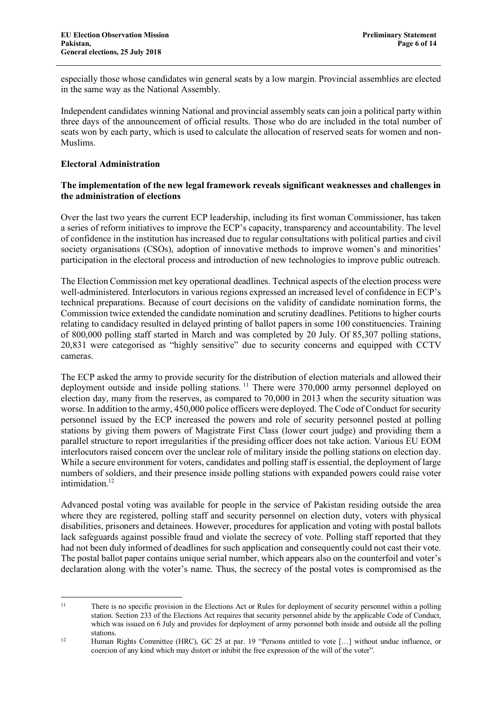especially those whose candidates win general seats by a low margin. Provincial assemblies are elected in the same way as the National Assembly.

Independent candidates winning National and provincial assembly seats can join a political party within three days of the announcement of official results. Those who do are included in the total number of seats won by each party, which is used to calculate the allocation of reserved seats for women and non-Muslims.

### **Electoral Administration**

### **The implementation of the new legal framework reveals significant weaknesses and challenges in the administration of elections**

Over the last two years the current ECP leadership, including its first woman Commissioner, has taken a series of reform initiatives to improve the ECP's capacity, transparency and accountability. The level of confidence in the institution has increased due to regular consultations with political parties and civil society organisations (CSOs), adoption of innovative methods to improve women's and minorities' participation in the electoral process and introduction of new technologies to improve public outreach.

The Election Commission met key operational deadlines. Technical aspects of the election process were well-administered. Interlocutors in various regions expressed an increased level of confidence in ECP's technical preparations. Because of court decisions on the validity of candidate nomination forms, the Commission twice extended the candidate nomination and scrutiny deadlines. Petitions to higher courts relating to candidacy resulted in delayed printing of ballot papers in some 100 constituencies. Training of 800,000 polling staff started in March and was completed by 20 July. Of 85,307 polling stations, 20,831 were categorised as "highly sensitive" due to security concerns and equipped with CCTV cameras.

The ECP asked the army to provide security for the distribution of election materials and allowed their deployment outside and inside polling stations.<sup>11</sup> There were 370,000 army personnel deployed on election day, many from the reserves, as compared to 70,000 in 2013 when the security situation was worse. In addition to the army, 450,000 police officers were deployed. The Code of Conduct for security personnel issued by the ECP increased the powers and role of security personnel posted at polling stations by giving them powers of Magistrate First Class (lower court judge) and providing them a parallel structure to report irregularities if the presiding officer does not take action. Various EU EOM interlocutors raised concern over the unclear role of military inside the polling stations on election day. While a secure environment for voters, candidates and polling staff is essential, the deployment of large numbers of soldiers, and their presence inside polling stations with expanded powers could raise voter intimidation.<sup>12</sup>

Advanced postal voting was available for people in the service of Pakistan residing outside the area where they are registered, polling staff and security personnel on election duty, voters with physical disabilities, prisoners and detainees. However, procedures for application and voting with postal ballots lack safeguards against possible fraud and violate the secrecy of vote. Polling staff reported that they had not been duly informed of deadlines for such application and consequently could not cast their vote. The postal ballot paper contains unique serial number, which appears also on the counterfoil and voter's declaration along with the voter's name. Thus, the secrecy of the postal votes is compromised as the

<sup>&</sup>lt;sup>11</sup> There is no specific provision in the Elections Act or Rules for deployment of security personnel within a polling station. Section 233 of the Elections Act requires that security personnel abide by the applicable Code of Conduct, which was issued on 6 July and provides for deployment of army personnel both inside and outside all the polling stations.

<sup>&</sup>lt;sup>12</sup> Human Rights Committee (HRC), GC 25 at par. 19 "Persons entitled to vote [...] without undue influence, or coercion of any kind which may distort or inhibit the free expression of the will of the voter".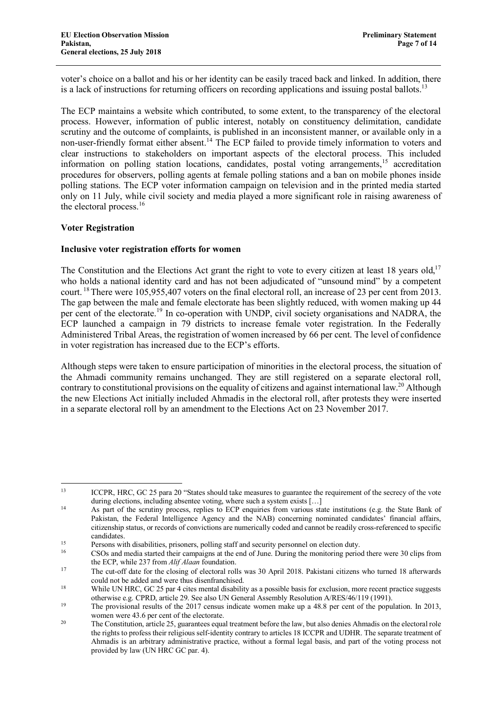voter's choice on a ballot and his or her identity can be easily traced back and linked. In addition, there is a lack of instructions for returning officers on recording applications and issuing postal ballots.<sup>13</sup>

The ECP maintains a website which contributed, to some extent, to the transparency of the electoral process. However, information of public interest, notably on constituency delimitation, candidate scrutiny and the outcome of complaints, is published in an inconsistent manner, or available only in a non-user-friendly format either absent.<sup>14</sup> The ECP failed to provide timely information to voters and clear instructions to stakeholders on important aspects of the electoral process. This included information on polling station locations, candidates, postal voting arrangements, <sup>15</sup> accreditation procedures for observers, polling agents at female polling stations and a ban on mobile phones inside polling stations. The ECP voter information campaign on television and in the printed media started only on 11 July, while civil society and media played a more significant role in raising awareness of the electoral process.<sup>16</sup>

#### **Voter Registration**

### **Inclusive voter registration efforts for women**

The Constitution and the Elections Act grant the right to vote to every citizen at least 18 years old,<sup>17</sup> who holds a national identity card and has not been adjudicated of "unsound mind" by a competent court.<sup>18</sup> There were 105,955,407 voters on the final electoral roll, an increase of 23 per cent from 2013. The gap between the male and female electorate has been slightly reduced, with women making up 44 per cent of the electorate.<sup>19</sup> In co-operation with UNDP, civil society organisations and NADRA, the ECP launched a campaign in 79 districts to increase female voter registration. In the Federally Administered Tribal Areas, the registration of women increased by 66 per cent. The level of confidence in voter registration has increased due to the ECP's efforts.

Although steps were taken to ensure participation of minorities in the electoral process, the situation of the Ahmadi community remains unchanged. They are still registered on a separate electoral roll, contrary to constitutional provisions on the equality of citizens and against international law.<sup>20</sup> Although the new Elections Act initially included Ahmadis in the electoral roll, after protests they were inserted in a separate electoral roll by an amendment to the Elections Act on 23 November 2017.

<sup>&</sup>lt;sup>13</sup> ICCPR, HRC, GC 25 para 20 "States should take measures to guarantee the requirement of the secrecy of the vote during elections, including absentee voting, where such a system exists [...]

<sup>&</sup>lt;sup>14</sup> As part of the scrutiny process, replies to ECP enquiries from various state institutions (e.g. the State Bank of Pakistan, the Federal Intelligence Agency and the NAB) concerning nominated candidates' financial affairs, citizenship status, or records of convictions are numerically coded and cannot be readily cross-referenced to specific candidates.

<sup>&</sup>lt;sup>15</sup><br>Persons with disabilities, prisoners, polling staff and security personnel on election duty.<br> $\frac{16}{25}$  CSOs and profile started their composition of the and of lune. During the monitoring period

<sup>16</sup> CSOs and media started their campaigns at the end of June. During the monitoring period there were 30 clips from the ECP, while 237 from *Alif Alaan* foundation.

<sup>&</sup>lt;sup>17</sup> The cut-off date for the closing of electoral rolls was 30 April 2018. Pakistani citizens who turned 18 afterwards could not be added and were thus disenfranchised.

<sup>&</sup>lt;sup>18</sup> While UN HRC, GC 25 par 4 cites mental disability as a possible basis for exclusion, more recent practice suggests otherwise e.g. CPRD, article 29. See also UN General Assembly Resolution A/RES/46/119 (1991).

<sup>&</sup>lt;sup>19</sup> The provisional results of the 2017 census indicate women make up a 48.8 per cent of the population. In 2013,

women were 43.6 per cent of the electorate.<br><sup>20</sup> The Constitution, article 25, guarantees equal treatment before the law, but also denies Ahmadis on the electoral role the rights to profess their religious self-identity contrary to articles 18 ICCPR and UDHR. The separate treatment of Ahmadis is an arbitrary administrative practice, without a formal legal basis, and part of the voting process not provided by law (UN HRC GC par. 4).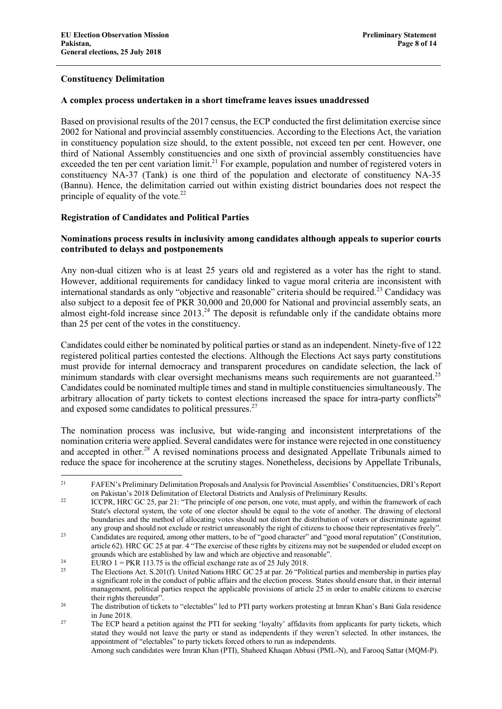### **Constituency Delimitation**

#### **A complex process undertaken in a short timeframe leaves issues unaddressed**

Based on provisional results of the 2017 census, the ECP conducted the first delimitation exercise since 2002 for National and provincial assembly constituencies. According to the Elections Act, the variation in constituency population size should, to the extent possible, not exceed ten per cent. However, one third of National Assembly constituencies and one sixth of provincial assembly constituencies have exceeded the ten per cent variation limit.<sup>21</sup> For example, population and number of registered voters in constituency NA-37 (Tank) is one third of the population and electorate of constituency NA-35 (Bannu). Hence, the delimitation carried out within existing district boundaries does not respect the principle of equality of the vote. $^{22}$ 

#### **Registration of Candidates and Political Parties**

### **Nominations process results in inclusivity among candidates although appeals to superior courts contributed to delays and postponements**

Any non-dual citizen who is at least 25 years old and registered as a voter has the right to stand. However, additional requirements for candidacy linked to vague moral criteria are inconsistent with international standards as only "objective and reasonable" criteria should be required.<sup>23</sup> Candidacy was also subject to a deposit fee of PKR 30,000 and 20,000 for National and provincial assembly seats, an almost eight-fold increase since  $2013<sup>24</sup>$ . The deposit is refundable only if the candidate obtains more than 25 per cent of the votes in the constituency.

Candidates could either be nominated by political parties or stand as an independent. Ninety-five of 122 registered political parties contested the elections. Although the Elections Act says party constitutions must provide for internal democracy and transparent procedures on candidate selection, the lack of minimum standards with clear oversight mechanisms means such requirements are not guaranteed.<sup>25</sup> Candidates could be nominated multiple times and stand in multiple constituencies simultaneously. The arbitrary allocation of party tickets to contest elections increased the space for intra-party conflicts<sup>26</sup> and exposed some candidates to political pressures.27

The nomination process was inclusive, but wide-ranging and inconsistent interpretations of the nomination criteria were applied. Several candidates were for instance were rejected in one constituency and accepted in other.<sup>28</sup> A revised nominations process and designated Appellate Tribunals aimed to reduce the space for incoherence at the scrutiny stages. Nonetheless, decisions by Appellate Tribunals,

<sup>&</sup>lt;sup>21</sup> FAFEN's Preliminary Delimitation Proposals and Analysis for Provincial Assemblies' Constituencies, DRI's Report on Pakistan's 2018 Delimitation of Electoral Districts and Analysis of Preliminary Results.

<sup>&</sup>lt;sup>22</sup> ICCPR, HRC GC 25, par 21: "The principle of one person, one vote, must apply, and within the framework of each State's electoral system, the vote of one elector should be equal to the vote of another. The drawing of electoral boundaries and the method of allocating votes should not distort the distribution of voters or discriminate against any group and should not exclude or restrict unreasonably the right of citizens to choose their representatives freely". <sup>23</sup> Candidates are required, among other matters, to be of "good character" and "good moral reputation" (Constitution,

article 62). HRC GC 25 at par. 4 "The exercise of these rights by citizens may not be suspended or eluded except on grounds which are established by law and which are objective and reasonable".

<sup>&</sup>lt;sup>24</sup> EURO 1 = PKR 113.75 is the official exchange rate as of 25 July 2018.

<sup>25</sup> The Elections Act. S.201(f). United Nations HRC GC 25 at par. 26 "Political parties and membership in parties play a significant role in the conduct of public affairs and the election process. States should ensure that, in their internal management, political parties respect the applicable provisions of article 25 in order to enable citizens to exercise

their rights thereunder".<br><sup>26</sup> The distribution of tickets to "electables" led to PTI party workers protesting at Imran Khan's Bani Gala residence in June 2018.

<sup>&</sup>lt;sup>27</sup> The ECP heard a petition against the PTI for seeking 'loyalty' affidavits from applicants for party tickets, which stated they would not leave the party or stand as independents if they weren't selected. In other instances, the appointment of "electables" to party tickets forced others to run as independents.

Among such candidates were Imran Khan (PTI), Shaheed Khaqan Abbasi (PML-N), and Farooq Sattar (MQM-P).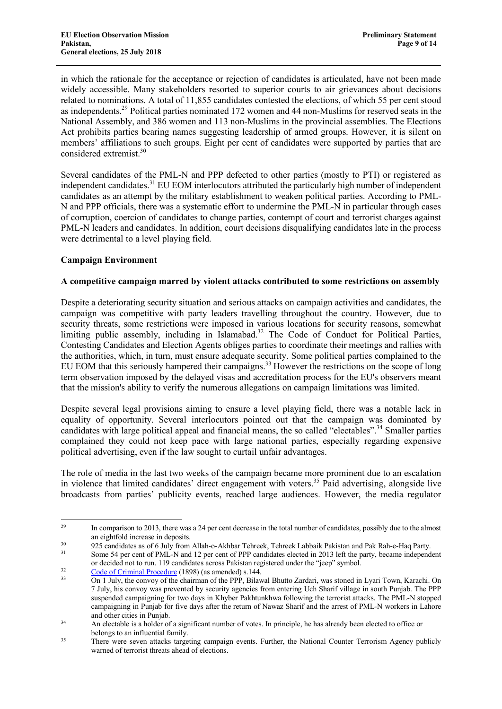in which the rationale for the acceptance or rejection of candidates is articulated, have not been made widely accessible. Many stakeholders resorted to superior courts to air grievances about decisions related to nominations. A total of 11,855 candidates contested the elections, of which 55 per cent stood as independents.29 Political parties nominated 172 women and 44 non-Muslims for reserved seats in the National Assembly, and 386 women and 113 non-Muslims in the provincial assemblies. The Elections Act prohibits parties bearing names suggesting leadership of armed groups. However, it is silent on members' affiliations to such groups. Eight per cent of candidates were supported by parties that are considered extremist.30

Several candidates of the PML-N and PPP defected to other parties (mostly to PTI) or registered as independent candidates.<sup>31</sup> EU EOM interlocutors attributed the particularly high number of independent candidates as an attempt by the military establishment to weaken political parties. According to PML-N and PPP officials, there was a systematic effort to undermine the PML-N in particular through cases of corruption, coercion of candidates to change parties, contempt of court and terrorist charges against PML-N leaders and candidates. In addition, court decisions disqualifying candidates late in the process were detrimental to a level playing field.

### **Campaign Environment**

### **A competitive campaign marred by violent attacks contributed to some restrictions on assembly**

Despite a deteriorating security situation and serious attacks on campaign activities and candidates, the campaign was competitive with party leaders travelling throughout the country. However, due to security threats, some restrictions were imposed in various locations for security reasons, somewhat limiting public assembly, including in Islamabad.<sup>32</sup> The Code of Conduct for Political Parties, Contesting Candidates and Election Agents obliges parties to coordinate their meetings and rallies with the authorities, which, in turn, must ensure adequate security. Some political parties complained to the EU EOM that this seriously hampered their campaigns.<sup>33</sup> However the restrictions on the scope of long term observation imposed by the delayed visas and accreditation process for the EU's observers meant that the mission's ability to verify the numerous allegations on campaign limitations was limited.

Despite several legal provisions aiming to ensure a level playing field, there was a notable lack in equality of opportunity. Several interlocutors pointed out that the campaign was dominated by candidates with large political appeal and financial means, the so called "electables".<sup>34</sup> Smaller parties complained they could not keep pace with large national parties, especially regarding expensive political advertising, even if the law sought to curtail unfair advantages.

The role of media in the last two weeks of the campaign became more prominent due to an escalation in violence that limited candidates' direct engagement with voters.<sup>35</sup> Paid advertising, alongside live broadcasts from parties' publicity events, reached large audiences. However, the media regulator

<sup>30</sup> 925 candidates as of 6 July from Allah-o-Akhbar Tehreek, Tehreek Labbaik Pakistan and Pak Rah-e-Haq Party.<br><sup>31</sup> Some 54 per cent of PMI -N and 12 per cent of PPP candidates elected in 2013 left the party became indepe

<sup>&</sup>lt;sup>29</sup> In comparison to 2013, there was a 24 per cent decrease in the total number of candidates, possibly due to the almost an eightfold increase in deposits.

Some 54 per cent of PML-N and 12 per cent of PPP candidates elected in 2013 left the party, became independent or decided not to run. 119 candidates across Pakistan registered under the "jeep" symbol.<br>
<u>Code of Criminal Procedure</u> (1898) (as amended) s.144.<br>
On 1 July the convoy of the chairman of the PPP Bilawal Bhutto Zardari, wa

<sup>33</sup> On 1 July, the convoy of the chairman of the PPP, Bilawal Bhutto Zardari, was stoned in Lyari Town, Karachi. On 7 July, his convoy was prevented by security agencies from entering Uch Sharif village in south Punjab. The PPP suspended campaigning for two days in Khyber Pakhtunkhwa following the terrorist attacks. The PML-N stopped campaigning in Punjab for five days after the return of Nawaz Sharif and the arrest of PML-N workers in Lahore and other cities in Punjab.

<sup>&</sup>lt;sup>34</sup> An electable is a holder of a significant number of votes. In principle, he has already been elected to office or belongs to an influential family.

<sup>35</sup> There were seven attacks targeting campaign events. Further, the National Counter Terrorism Agency publicly warned of terrorist threats ahead of elections.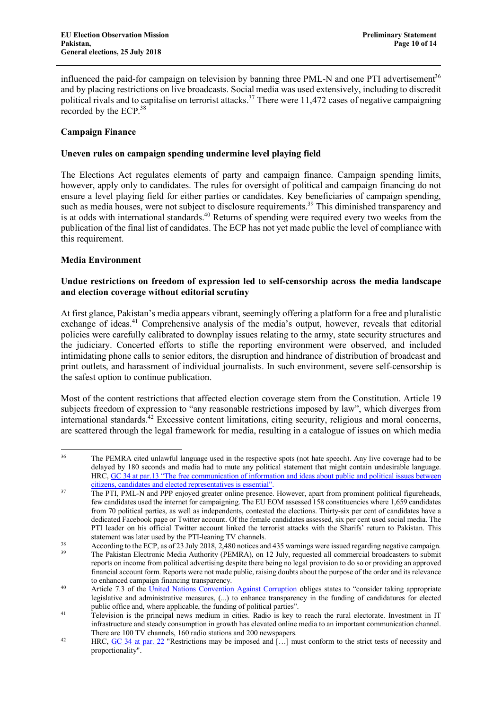influenced the paid-for campaign on television by banning three PML-N and one PTI advertisement<sup>36</sup> and by placing restrictions on live broadcasts. Social media was used extensively, including to discredit political rivals and to capitalise on terrorist attacks.<sup>37</sup> There were 11,472 cases of negative campaigning recorded by the ECP.<sup>38</sup>

### **Campaign Finance**

### **Uneven rules on campaign spending undermine level playing field**

The Elections Act regulates elements of party and campaign finance. Campaign spending limits, however, apply only to candidates. The rules for oversight of political and campaign financing do not ensure a level playing field for either parties or candidates. Key beneficiaries of campaign spending, such as media houses, were not subject to disclosure requirements.<sup>39</sup> This diminished transparency and is at odds with international standards.<sup>40</sup> Returns of spending were required every two weeks from the publication of the final list of candidates. The ECP has not yet made public the level of compliance with this requirement.

### **Media Environment**

### **Undue restrictions on freedom of expression led to self-censorship across the media landscape and election coverage without editorial scrutiny**

At first glance, Pakistan's media appears vibrant, seemingly offering a platform for a free and pluralistic exchange of ideas.<sup>41</sup> Comprehensive analysis of the media's output, however, reveals that editorial policies were carefully calibrated to downplay issues relating to the army, state security structures and the judiciary. Concerted efforts to stifle the reporting environment were observed, and included intimidating phone calls to senior editors, the disruption and hindrance of distribution of broadcast and print outlets, and harassment of individual journalists. In such environment, severe self-censorship is the safest option to continue publication.

Most of the content restrictions that affected election coverage stem from the Constitution. Article 19 subjects freedom of expression to "any reasonable restrictions imposed by law", which diverges from international standards.<sup>42</sup> Excessive content limitations, citing security, religious and moral concerns, are scattered through the legal framework for media, resulting in a catalogue of issues on which media

<sup>&</sup>lt;sup>36</sup> The PEMRA cited unlawful language used in the respective spots (not hate speech). Any live coverage had to be delayed by 180 seconds and media had to mute any political statement that might contain undesirable language. HRC, GC 34 at par.13 "The free communication of information and ideas about public and political issues between citizens, candidates and elected representatives is essential".

<sup>&</sup>lt;sup>37</sup> The PTI, PML-N and PPP enjoyed greater online presence. However, apart from prominent political figureheads, few candidates used the internet for campaigning. The EU EOM assessed 158 constituencies where 1,659 candidates from 70 political parties, as well as independents, contested the elections. Thirty-six per cent of candidates have a dedicated Facebook page or Twitter account. Of the female candidates assessed, six per cent used social media. The PTI leader on his official Twitter account linked the terrorist attacks with the Sharifs' return to Pakistan. This

statement was later used by the PTI-leaning TV channels.<br>According to the ECP, as of 23 July 2018, 2,480 notices and 435 warnings were issued regarding negative campaign.<br>The Pakistan Electronic Media Authority (PEMRA), on

reports on income from political advertising despite there being no legal provision to do so or providing an approved financial account form. Reports were not made public, raising doubts about the purpose of the order and its relevance to enhanced campaign financing transparency.

<sup>40</sup> Article 7.3 of the United Nations Convention Against Corruption obliges states to "consider taking appropriate legislative and administrative measures, (...) to enhance transparency in the funding of candidatures for elected public office and, where applicable, the funding of political parties".

<sup>&</sup>lt;sup>41</sup> Television is the principal news medium in cities. Radio is key to reach the rural electorate. Investment in IT infrastructure and steady consumption in growth has elevated online media to an important communication channel. There are 100 TV channels, 160 radio stations and 200 newspapers.

<sup>&</sup>lt;sup>42</sup> HRC, GC 34 at par. 22 "Restrictions may be imposed and [...] must conform to the strict tests of necessity and proportionality".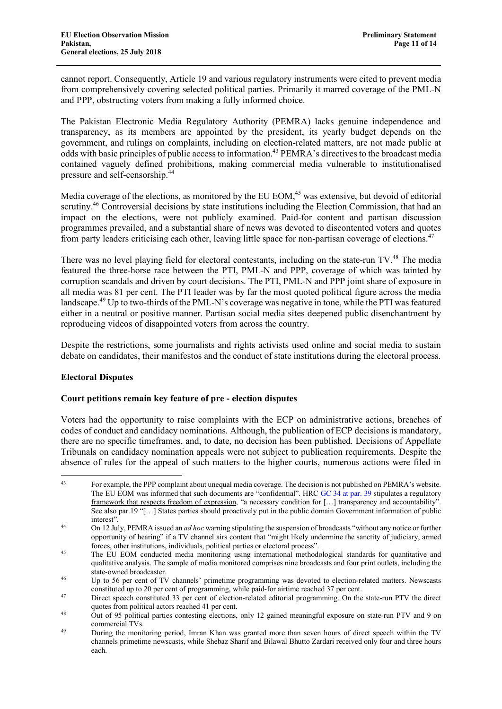cannot report. Consequently, Article 19 and various regulatory instruments were cited to prevent media from comprehensively covering selected political parties. Primarily it marred coverage of the PML-N and PPP, obstructing voters from making a fully informed choice.

The Pakistan Electronic Media Regulatory Authority (PEMRA) lacks genuine independence and transparency, as its members are appointed by the president, its yearly budget depends on the government, and rulings on complaints, including on election-related matters, are not made public at odds with basic principles of public access to information.43 PEMRA's directives to the broadcast media contained vaguely defined prohibitions, making commercial media vulnerable to institutionalised pressure and self-censorship.<sup>44</sup>

Media coverage of the elections, as monitored by the EU EOM.<sup>45</sup> was extensive, but devoid of editorial scrutiny.<sup>46</sup> Controversial decisions by state institutions including the Election Commission, that had an impact on the elections, were not publicly examined. Paid-for content and partisan discussion programmes prevailed, and a substantial share of news was devoted to discontented voters and quotes from party leaders criticising each other, leaving little space for non-partisan coverage of elections.<sup>47</sup>

There was no level playing field for electoral contestants, including on the state-run TV.<sup>48</sup> The media featured the three-horse race between the PTI, PML-N and PPP, coverage of which was tainted by corruption scandals and driven by court decisions. The PTI, PML-N and PPP joint share of exposure in all media was 81 per cent. The PTI leader was by far the most quoted political figure across the media landscape.<sup>49</sup> Up to two-thirds of the PML-N's coverage was negative in tone, while the PTI was featured either in a neutral or positive manner. Partisan social media sites deepened public disenchantment by reproducing videos of disappointed voters from across the country.

Despite the restrictions, some journalists and rights activists used online and social media to sustain debate on candidates, their manifestos and the conduct of state institutions during the electoral process.

# **Electoral Disputes**

# **Court petitions remain key feature of pre - election disputes**

Voters had the opportunity to raise complaints with the ECP on administrative actions, breaches of codes of conduct and candidacy nominations. Although, the publication of ECP decisions is mandatory, there are no specific timeframes, and, to date, no decision has been published. Decisions of Appellate Tribunals on candidacy nomination appeals were not subject to publication requirements. Despite the absence of rules for the appeal of such matters to the higher courts, numerous actions were filed in

<sup>&</sup>lt;sup>43</sup> For example, the PPP complaint about unequal media coverage. The decision is not published on PEMRA's website. The EU EOM was informed that such documents are "confidential". HRC GC 34 at par. 39 stipulates a regulatory framework that respects freedom of expression, "a necessary condition for [...] transparency and accountability" See also par.19 "[…] States parties should proactively put in the public domain Government information of public interest".

<sup>44</sup> On 12 July, PEMRA issued an *ad hoc* warning stipulating the suspension of broadcasts "without any notice or further opportunity of hearing" if a TV channel airs content that "might likely undermine the sanctity of judiciary, armed forces, other institutions, individuals, political parties or electoral process".

<sup>&</sup>lt;sup>45</sup> The EU EOM conducted media monitoring using international methodological standards for quantitative and qualitative analysis. The sample of media monitored comprises nine broadcasts and four print outlets, including the state-owned broadcaster.

<sup>&</sup>lt;sup>46</sup> Up to 56 per cent of TV channels' primetime programming was devoted to election-related matters. Newscasts constituted up to 20 per cent of programming, while paid-for airtime reached 37 per cent.

<sup>&</sup>lt;sup>47</sup> Direct speech constituted 33 per cent of election-related editorial programming. On the state-run PTV the direct quotes from political actors reached 41 per cent.<br><sup>48</sup> Out of 95 political parties contesting elections, only 12 gained meaningful exposure on state-run PTV and 9 on

commercial TVs.

<sup>49</sup> During the monitoring period, Imran Khan was granted more than seven hours of direct speech within the TV channels primetime newscasts, while Shebaz Sharif and Bilawal Bhutto Zardari received only four and three hours each.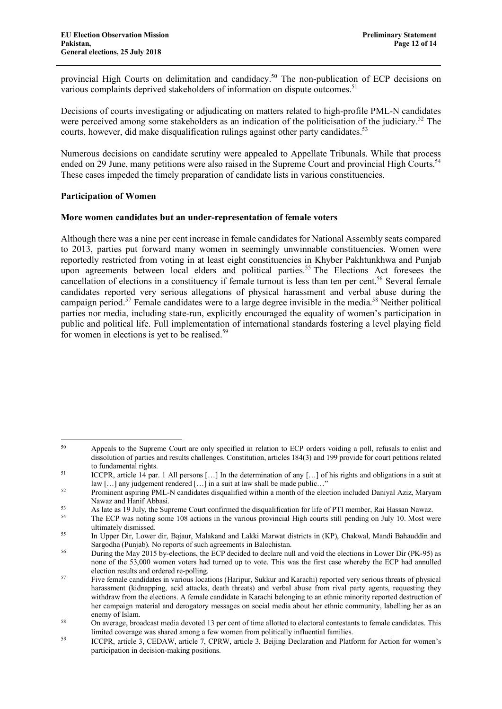provincial High Courts on delimitation and candidacy.<sup>50</sup> The non-publication of ECP decisions on various complaints deprived stakeholders of information on dispute outcomes.<sup>51</sup>

Decisions of courts investigating or adjudicating on matters related to high-profile PML-N candidates were perceived among some stakeholders as an indication of the politicisation of the judiciary.<sup>52</sup> The courts, however, did make disqualification rulings against other party candidates.<sup>53</sup>

Numerous decisions on candidate scrutiny were appealed to Appellate Tribunals. While that process ended on 29 June, many petitions were also raised in the Supreme Court and provincial High Courts.<sup>54</sup> These cases impeded the timely preparation of candidate lists in various constituencies.

#### **Participation of Women**

#### **More women candidates but an under-representation of female voters**

Although there was a nine per cent increase in female candidates for National Assembly seats compared to 2013, parties put forward many women in seemingly unwinnable constituencies. Women were reportedly restricted from voting in at least eight constituencies in Khyber Pakhtunkhwa and Punjab upon agreements between local elders and political parties.<sup>55</sup> The Elections Act foresees the cancellation of elections in a constituency if female turnout is less than ten per cent.<sup>56</sup> Several female candidates reported very serious allegations of physical harassment and verbal abuse during the campaign period.<sup>57</sup> Female candidates were to a large degree invisible in the media.58 Neither political parties nor media, including state-run, explicitly encouraged the equality of women's participation in public and political life. Full implementation of international standards fostering a level playing field for women in elections is yet to be realised.<sup>59</sup>

 <sup>50</sup> Appeals to the Supreme Court are only specified in relation to ECP orders voiding a poll, refusals to enlist and dissolution of parties and results challenges. Constitution, articles 184(3) and 199 provide for court petitions related to fundamental rights.

<sup>&</sup>lt;sup>51</sup> ICCPR, article 14 par. 1 All persons [...] In the determination of any [...] of his rights and obligations in a suit at law […] any judgement rendered […] in a suit at law shall be made public…"

<sup>&</sup>lt;sup>52</sup> Prominent aspiring PML-N candidates disqualified within a month of the election included Daniyal Aziz, Maryam

Nawaz and Hanif Abbasi.<br>
As late as 19 July, the Supreme Court confirmed the disqualification for life of PTI member, Rai Hassan Nawaz.

The ECP was noting some 108 actions in the various provincial High courts still pending on July 10. Most were ultimately dismissed.

<sup>&</sup>lt;sup>55</sup> In Upper Dir, Lower dir, Bajaur, Malakand and Lakki Marwat districts in (KP), Chakwal, Mandi Bahauddin and Sargodha (Punjab). No reports of such agreements in Balochistan.

<sup>&</sup>lt;sup>56</sup> During the May 2015 by-elections, the ECP decided to declare null and void the elections in Lower Dir (PK-95) as none of the 53,000 women voters had turned up to vote. This was the first case whereby the ECP had annulled election results and ordered re-polling.

<sup>&</sup>lt;sup>57</sup> Five female candidates in various locations (Haripur, Sukkur and Karachi) reported very serious threats of physical harassment (kidnapping, acid attacks, death threats) and verbal abuse from rival party agents, requesting they withdraw from the elections. A female candidate in Karachi belonging to an ethnic minority reported destruction of her campaign material and derogatory messages on social media about her ethnic community, labelling her as an enemy of Islam.

<sup>58</sup> On average, broadcast media devoted 13 per cent of time allotted to electoral contestants to female candidates. This limited coverage was shared among a few women from politically influential families.

<sup>&</sup>lt;sup>59</sup> ICCPR, article 3, CEDAW, article 7, CPRW, article 3, Beijing Declaration and Platform for Action for women's participation in decision-making positions.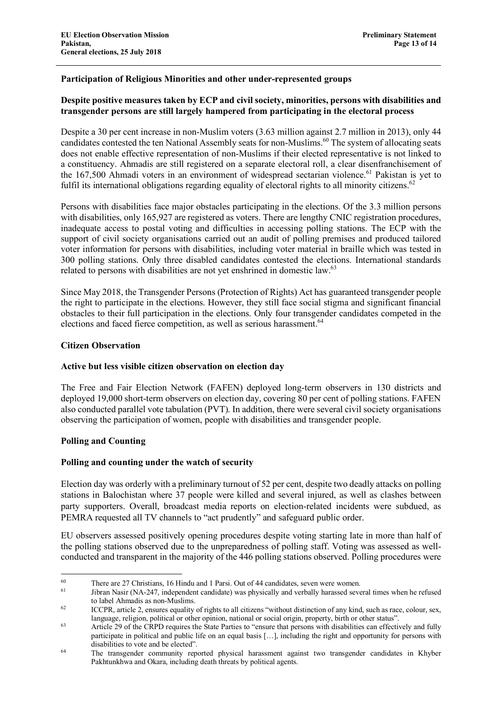### **Participation of Religious Minorities and other under-represented groups**

#### **Despite positive measures taken by ECP and civil society, minorities, persons with disabilities and transgender persons are still largely hampered from participating in the electoral process**

Despite a 30 per cent increase in non-Muslim voters (3.63 million against 2.7 million in 2013), only 44 candidates contested the ten National Assembly seats for non-Muslims.<sup>60</sup> The system of allocating seats does not enable effective representation of non-Muslims if their elected representative is not linked to a constituency. Ahmadis are still registered on a separate electoral roll, a clear disenfranchisement of the 167,500 Ahmadi voters in an environment of widespread sectarian violence.<sup>61</sup> Pakistan is yet to fulfil its international obligations regarding equality of electoral rights to all minority citizens.<sup>62</sup>

Persons with disabilities face major obstacles participating in the elections. Of the 3.3 million persons with disabilities, only 165,927 are registered as voters. There are lengthy CNIC registration procedures. inadequate access to postal voting and difficulties in accessing polling stations. The ECP with the support of civil society organisations carried out an audit of polling premises and produced tailored voter information for persons with disabilities, including voter material in braille which was tested in 300 polling stations. Only three disabled candidates contested the elections. International standards related to persons with disabilities are not yet enshrined in domestic law.<sup>63</sup>

Since May 2018, the Transgender Persons (Protection of Rights) Act has guaranteed transgender people the right to participate in the elections. However, they still face social stigma and significant financial obstacles to their full participation in the elections. Only four transgender candidates competed in the elections and faced fierce competition, as well as serious harassment.<sup>64</sup>

#### **Citizen Observation**

#### **Active but less visible citizen observation on election day**

The Free and Fair Election Network (FAFEN) deployed long-term observers in 130 districts and deployed 19,000 short-term observers on election day, covering 80 per cent of polling stations. FAFEN also conducted parallel vote tabulation (PVT). In addition, there were several civil society organisations observing the participation of women, people with disabilities and transgender people.

#### **Polling and Counting**

#### **Polling and counting under the watch of security**

Election day was orderly with a preliminary turnout of 52 per cent, despite two deadly attacks on polling stations in Balochistan where 37 people were killed and several injured, as well as clashes between party supporters. Overall, broadcast media reports on election-related incidents were subdued, as PEMRA requested all TV channels to "act prudently" and safeguard public order.

EU observers assessed positively opening procedures despite voting starting late in more than half of the polling stations observed due to the unpreparedness of polling staff. Voting was assessed as wellconducted and transparent in the majority of the 446 polling stations observed. Polling procedures were

<sup>&</sup>lt;sup>60</sup> There are 27 Christians, 16 Hindu and 1 Parsi. Out of 44 candidates, seven were women.<br><sup>61</sup> Library Nesir (NA 247, independent candidate) was physically and verbelly barassed seve

Jibran Nasir (NA-247, independent candidate) was physically and verbally harassed several times when he refused to label Ahmadis as non-Muslims.<br>
ICCPR, article 2, ensures equality of rights to all citizens "without distinction of any kind, such as race, colour, sex,

language, religion, political or other opinion, national or social origin, property, birth or other status".

<sup>63</sup> Article 29 of the CRPD requires the State Parties to "ensure that persons with disabilities can effectively and fully participate in political and public life on an equal basis […], including the right and opportunity for persons with disabilities to vote and be elected".

<sup>64</sup> The transgender community reported physical harassment against two transgender candidates in Khyber Pakhtunkhwa and Okara, including death threats by political agents.